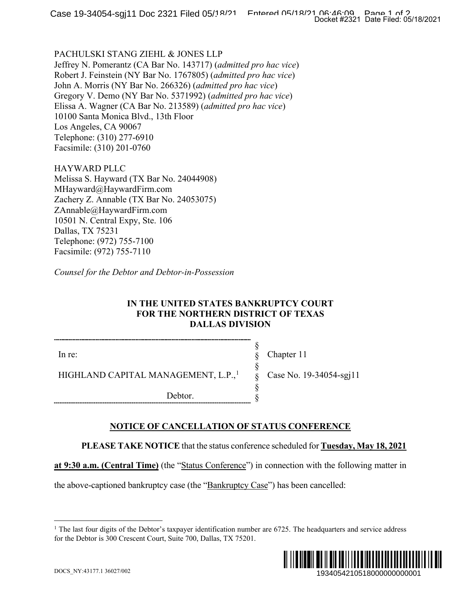## PACHULSKI STANG ZIEHL & JONES LLP

Jeffrey N. Pomerantz (CA Bar No. 143717) (*admitted pro hac vice*) Robert J. Feinstein (NY Bar No. 1767805) (*admitted pro hac vice*) John A. Morris (NY Bar No. 266326) (*admitted pro hac vice*) Gregory V. Demo (NY Bar No. 5371992) (*admitted pro hac vice*) Elissa A. Wagner (CA Bar No. 213589) (*admitted pro hac vice*) 10100 Santa Monica Blvd., 13th Floor Los Angeles, CA 90067 Telephone: (310) 277-6910 Facsimile: (310) 201-0760

HAYWARD PLLC Melissa S. Hayward (TX Bar No. 24044908) MHayward@HaywardFirm.com Zachery Z. Annable (TX Bar No. 24053075) ZAnnable@HaywardFirm.com 10501 N. Central Expy, Ste. 106 Dallas, TX 75231 Telephone: (972) 755-7100 Facsimile: (972) 755-7110

*Counsel for the Debtor and Debtor-in-Possession*

# **IN THE UNITED STATES BANKRUPTCY COURT FOR THE NORTHERN DISTRICT OF TEXAS DALLAS DIVISION**

In re:

Chapter 11

Case No. 19-34054-sgj11

HIGHLAND CAPITAL MANAGEMENT, L.P.,<sup>[1](#page-0-0)</sup>

Debtor.

# **NOTICE OF CANCELLATION OF STATUS CONFERENCE**

**PLEASE TAKE NOTICE** that the status conference scheduled for **Tuesday, May 18, 2021** 

§ § § § § §

**at 9:30 a.m. (Central Time)** (the "Status Conference") in connection with the following matter in

<span id="page-0-0"></span>the above-captioned bankruptcy case (the "Bankruptcy Case") has been cancelled:

<sup>&</sup>lt;sup>1</sup> The last four digits of the Debtor's taxpayer identification number are  $6725$ . The headquarters and service address for the Debtor is 300 Crescent Court, Suite 700, Dallas, TX 75201.